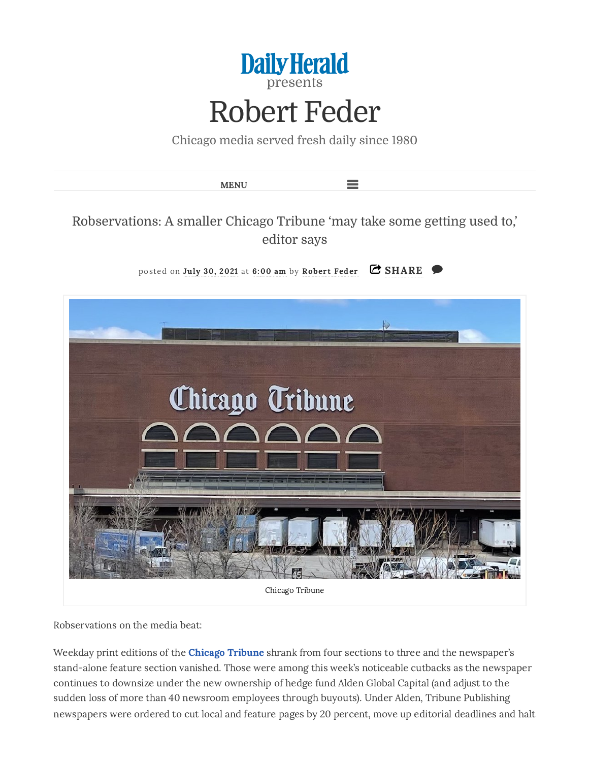

Chicago media served fresh daily since 1980



Robservations on the media beat:

Weekday print editions of the Chicago [Tribune](http://www.chicagotribune.com/) shrank from four sections to three and the newspaper's stand-alone feature section vanished. Those were among this week's noticeable cutbacks as the newspaper continues to downsize under the new ownership of hedge fund Alden Global Capital (and adjust to the sudden loss of more than 40 newsroom employees through buyouts). Under Alden, Tribune Publishing newspapers were ordered to cut local and feature pages by 20 percent, move up editorial deadlines and halt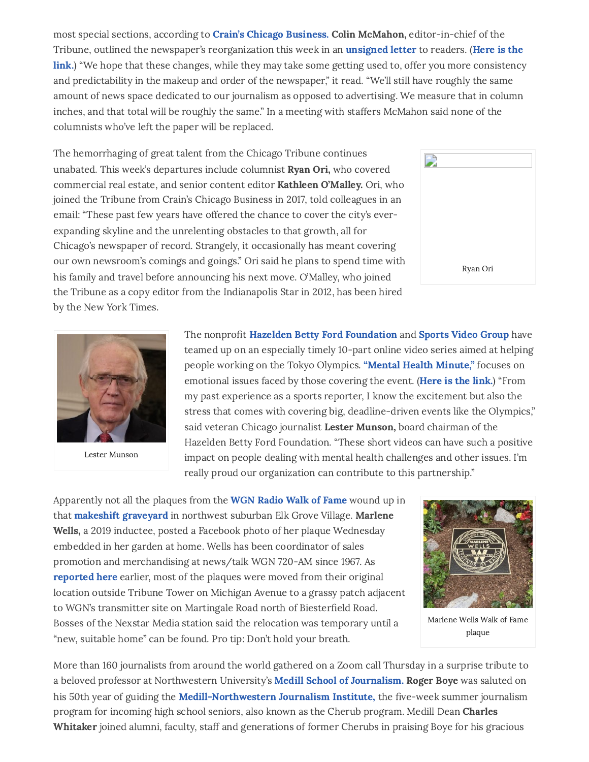most special sections, according to Crain's Chicago [Business.](https://www.chicagobusiness.com/marketing-media/tribune-publishing-temporarily-trims-newspaper-pages-amid-staff-exodus) Colin McMahon, editor-in-chief of the Tribune, outlined the newspaper's [reorganization](https://www.chicagotribune.com/about/ct-editors-note-print-edition-changes-20210728-e2fb6mj3b5dsrm4x4ibpid34bu-story.html) this week in an **[unsigned](https://www.chicagotribune.com/about/ct-editors-note-print-edition-changes-20210728-e2fb6mj3b5dsrm4x4ibpid34bu-story.html) letter** to readers. (Here is the link.) "We hope that these changes, while they may take some getting used to, offer you more consistency and predictability in the makeup and order of the newspaper," it read. "We'll still have roughly the same amount of news space dedicated to our journalism as opposed to advertising. We measure that in column inches, and that total will be roughly the same." In a meeting with staffers McMahon said none of the columnists who've left the paper will be replaced.

The hemorrhaging of great talent from the Chicago Tribune continues unabated. This week's departures include columnist Ryan Ori, who covered commercial real estate, and senior content editor Kathleen O'Malley. Ori, who joined the Tribune from Crain's Chicago Business in 2017, told colleagues in an email: "These past few years have offered the chance to cover the city's everexpanding skyline and the unrelenting obstacles to that growth, all for Chicago's newspaper of record. Strangely, it occasionally has meant covering our own newsroom's comings and goings." Ori said he plans to spend time with his family and travel before announcing his next move. O'Malley, who joined the Tribune as a copy editor from the Indianapolis Star in 2012, has been hired by the New York Times.





Lester Munson

The nonprofit Hazelden Betty Ford [Foundation](https://www.hazeldenbettyford.org/) and [Sports](https://www.sportsvideo.org/) Video Group have teamed up on an especially timely 10-part online video series aimed at helping people working on the Tokyo Olympics. "Mental Health [Minute,"](https://www.sportsvideo.org/2021/07/19/watch-now-svg-hbf-mental-health-minute-how-those-working-the-tokyo-olympics-can-fight-homesickness/) focuses on emotional issues faced by those covering the event. [\(Here](https://www.sportsvideo.org/2021/07/19/watch-now-svg-hbf-mental-health-minute-how-those-working-the-tokyo-olympics-can-fight-homesickness/) is the link.) "From my past experience as a sports reporter, I know the excitement but also the stress that comes with covering big, deadline-driven events like the Olympics," said veteran Chicago journalist Lester Munson, board chairman of the Hazelden Betty Ford Foundation. "These short videos can have such a positive impact on people dealing with mental health challenges and other issues. I'm really proud our organization can contribute to this partnership."

Apparently not all the plaques from the **WGN [Radio](https://wgnradio.com/tag/wgn-radio-walk-of-fame/) Walk of Fame** wound up in that makeshift [graveyard](https://www.robertfeder.com/2021/06/29/wgn-radio-walk-fame-takes-eerie-detour-suburbs/) in northwest suburban Elk Grove Village. Marlene Wells, a 2019 inductee, posted a Facebook photo of her plaque Wednesday embedded in her garden at home. Wells has been coordinator of sales promotion and merchandising at news/talk WGN 720-AM since 1967. As [reported](https://www.robertfeder.com/2021/06/29/wgn-radio-walk-fame-takes-eerie-detour-suburbs/) here earlier, most of the plaques were moved from their original location outside Tribune Tower on Michigan Avenue to a grassy patch adjacent to WGN's transmitter site on Martingale Road north of Biesterfield Road. Bosses of the Nexstar Media station said the relocation was temporary until a "new, suitable home" can be found. Pro tip: Don't hold your breath.



Marlene Wells Walk of Fame plaque

More than 160 journalists from around the world gathered on a Zoom call Thursday in a surprise tribute to a beloved professor at Northwestern University's **Medill School of [Journalism.](https://www.medill.northwestern.edu/) Roger Boye** was saluted on his 50th year of guiding the [Medill-Northwestern](https://www.medill.northwestern.edu/journalism/high-school-programs/medill-cherubs.html) Journalism Institute, the five-week summer journalism program for incoming high school seniors, also known as the Cherub program. Medill Dean Charles Whitaker joined alumni, faculty, staff and generations of former Cherubs in praising Boye for his gracious